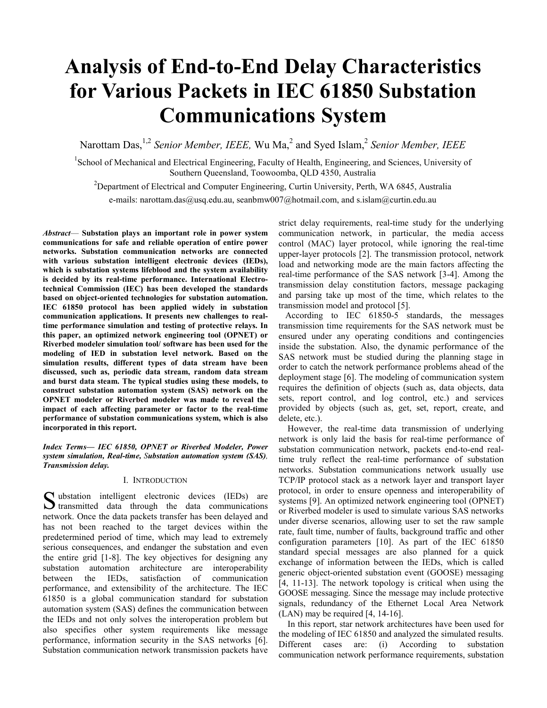# **Analysis of End-to-End Delay Characteristics for Various Packets in IEC 61850 Substation Communications System**

Narottam Das, <sup>1,2</sup> Senior Member, IEEE, Wu Ma, <sup>2</sup> and Syed Islam, <sup>2</sup> Senior Member, IEEE

<sup>1</sup>School of Mechanical and Electrical Engineering, Faculty of Health, Engineering, and Sciences, University of Southern Queensland, Toowoomba, QLD 4350, Australia

<sup>2</sup>Department of Electrical and Computer Engineering, Curtin University, Perth, WA 6845, Australia e-mails: narottam.das@usq.edu.au, seanbmw007@hotmail.com, and s.islam@curtin.edu.au

*Abstract*— **Substation plays an important role in power system communications for safe and reliable operation of entire power networks. Substation communication networks are connected with various substation intelligent electronic devices (IEDs), which is substation systems lifeblood and the system availability is decided by its real-time performance. International Electrotechnical Commission (IEC) has been developed the standards based on object-oriented technologies for substation automation. IEC 61850 protocol has been applied widely in substation communication applications. It presents new challenges to realtime performance simulation and testing of protective relays. In this paper, an optimized network engineering tool (OPNET) or Riverbed modeler simulation tool/ software has been used for the modeling of IED in substation level network. Based on the simulation results, different types of data stream have been discussed, such as, periodic data stream, random data stream and burst data steam. The typical studies using these models, to construct substation automation system (SAS) network on the OPNET modeler or Riverbed modeler was made to reveal the impact of each affecting parameter or factor to the real-time performance of substation communications system, which is also incorporated in this report.** 

*Index Terms***—** *IEC 61850, OPNET or Riverbed Modeler, Power system simulation, Real-time, Substation automation system (SAS), Transmission delay.*

## I. INTRODUCTION

ubstation intelligent electronic devices (IEDs) are S ubstation intelligent electronic devices (IEDs) are transmitted data through the data communications network. Once the data packets transfer has been delayed and has not been reached to the target devices within the predetermined period of time, which may lead to extremely serious consequences, and endanger the substation and even the entire grid [1-8]. The key objectives for designing any substation automation architecture are interoperability between the IEDs, satisfaction of communication performance, and extensibility of the architecture. The IEC 61850 is a global communication standard for substation automation system (SAS) defines the communication between the IEDs and not only solves the interoperation problem but also specifies other system requirements like message performance, information security in the SAS networks [6]. Substation communication network transmission packets have

strict delay requirements, real-time study for the underlying communication network, in particular, the media access control (MAC) layer protocol, while ignoring the real-time upper-layer protocols [2]. The transmission protocol, network load and networking mode are the main factors affecting the real-time performance of the SAS network [3-4]. Among the transmission delay constitution factors, message packaging and parsing take up most of the time, which relates to the transmission model and protocol [5].

 According to IEC 61850-5 standards, the messages transmission time requirements for the SAS network must be ensured under any operating conditions and contingencies inside the substation. Also, the dynamic performance of the SAS network must be studied during the planning stage in order to catch the network performance problems ahead of the deployment stage [6]. The modeling of communication system requires the definition of objects (such as, data objects, data sets, report control, and log control, etc.) and services provided by objects (such as, get, set, report, create, and delete, etc.).

However, the real-time data transmission of underlying network is only laid the basis for real-time performance of substation communication network, packets end-to-end realtime truly reflect the real-time performance of substation networks. Substation communications network usually use TCP/IP protocol stack as a network layer and transport layer protocol, in order to ensure openness and interoperability of systems [9]. An optimized network engineering tool (OPNET) or Riverbed modeler is used to simulate various SAS networks under diverse scenarios, allowing user to set the raw sample rate, fault time, number of faults, background traffic and other configuration parameters [10]. As part of the IEC 61850 standard special messages are also planned for a quick exchange of information between the IEDs, which is called generic object-oriented substation event (GOOSE) messaging [4, 11-13]. The network topology is critical when using the GOOSE messaging. Since the message may include protective signals, redundancy of the Ethernet Local Area Network (LAN) may be required [4, 14-16].

In this report, star network architectures have been used for the modeling of IEC 61850 and analyzed the simulated results. Different cases are: (i) According to substation communication network performance requirements, substation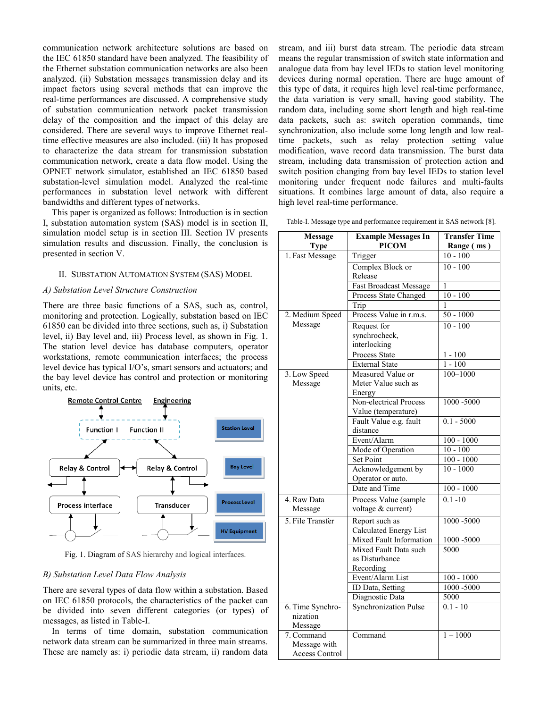communication network architecture solutions are based on the IEC 61850 standard have been analyzed. The feasibility of the Ethernet substation communication networks are also been analyzed. (ii) Substation messages transmission delay and its impact factors using several methods that can improve the real-time performances are discussed. A comprehensive study of substation communication network packet transmission delay of the composition and the impact of this delay are considered. There are several ways to improve Ethernet realtime effective measures are also included. (iii) It has proposed to characterize the data stream for transmission substation communication network, create a data flow model. Using the OPNET network simulator, established an IEC 61850 based substation-level simulation model. Analyzed the real-time performances in substation level network with different bandwidths and different types of networks.

This paper is organized as follows: Introduction is in section I, substation automation system (SAS) model is in section II, simulation model setup is in section III. Section IV presents simulation results and discussion. Finally, the conclusion is presented in section V.

#### II. SUBSTATION AUTOMATION SYSTEM (SAS) MODEL

## *A) Substation Level Structure Construction*

There are three basic functions of a SAS, such as, control, monitoring and protection. Logically, substation based on IEC 61850 can be divided into three sections, such as, i) Substation level, ii) Bay level and, iii) Process level, as shown in Fig. 1. The station level device has database computers, operator workstations, remote communication interfaces; the process level device has typical I/O's, smart sensors and actuators; and the bay level device has control and protection or monitoring units, etc.



Fig. 1. Diagram of SAS hierarchy and logical interfaces.

## *B) Substation Level Data Flow Analysis*

There are several types of data flow within a substation. Based on IEC 61850 protocols, the characteristics of the packet can be divided into seven different categories (or types) of messages, as listed in Table-I.

In terms of time domain, substation communication network data stream can be summarized in three main streams. These are namely as: i) periodic data stream, ii) random data

stream, and iii) burst data stream. The periodic data stream means the regular transmission of switch state information and analogue data from bay level IEDs to station level monitoring devices during normal operation. There are huge amount of this type of data, it requires high level real-time performance, the data variation is very small, having good stability. The random data, including some short length and high real-time data packets, such as: switch operation commands, time synchronization, also include some long length and low realtime packets, such as relay protection setting value modification, wave record data transmission. The burst data stream, including data transmission of protection action and switch position changing from bay level IEDs to station level monitoring under frequent node failures and multi-faults situations. It combines large amount of data, also require a high level real-time performance.

Table-I. Message type and performance requirement in SAS network [8].

| <b>Message</b><br><b>Type</b>                       | <b>Example Messages In</b><br><b>PICOM</b>         | <b>Transfer Time</b><br>Range (ms) |
|-----------------------------------------------------|----------------------------------------------------|------------------------------------|
| 1. Fast Message                                     | Trigger                                            | $10 - 100$                         |
|                                                     | Complex Block or<br>Release                        | $10 - 100$                         |
|                                                     | <b>Fast Broadcast Message</b>                      | 1                                  |
|                                                     | Process State Changed                              | $10 - 100$                         |
|                                                     | Trip                                               | 1                                  |
| 2. Medium Speed                                     | Process Value in r.m.s.                            | $50 - 1000$                        |
| Message                                             | Request for                                        | $10 - 100$                         |
|                                                     | synchrocheck,<br>interlocking                      |                                    |
|                                                     | Process State                                      | $1 - 100$                          |
|                                                     | <b>External State</b>                              | $1 - 100$                          |
| 3. Low Speed<br>Message                             | Measured Value or<br>Meter Value such as<br>Energy | $100 - 1000$                       |
|                                                     | Non-electrical Process<br>Value (temperature)      | 1000 -5000                         |
|                                                     | Fault Value e.g. fault<br>distance                 | $0.1 - 5000$                       |
|                                                     | Event/Alarm                                        | $100 - 1000$                       |
|                                                     | Mode of Operation                                  | $10 - 100$                         |
|                                                     | Set Point                                          | $100 - 1000$                       |
|                                                     | Acknowledgement by<br>Operator or auto.            | $10 - 1000$                        |
|                                                     | Date and Time                                      | $100 - 1000$                       |
| 4. Raw Data<br>Message                              | Process Value (sample<br>voltage & current)        | $0.1 - 10$                         |
| 5. File Transfer                                    | Report such as<br>Calculated Energy List           | 1000-5000                          |
|                                                     | Mixed Fault Information                            | 1000 -5000                         |
|                                                     | Mixed Fault Data such                              | 5000                               |
|                                                     | as Disturbance                                     |                                    |
|                                                     | Recording                                          |                                    |
|                                                     | Event/Alarm List                                   | $100 - 1000$                       |
|                                                     | ID Data, Setting                                   | 1000 -5000<br>5000                 |
| 6. Time Synchro-                                    | Diagnostic Data<br><b>Synchronization Pulse</b>    | $0.1 - 10$                         |
| nization<br>Message                                 |                                                    |                                    |
| 7. Command<br>Message with<br><b>Access Control</b> | Command                                            | $1 - 1000$                         |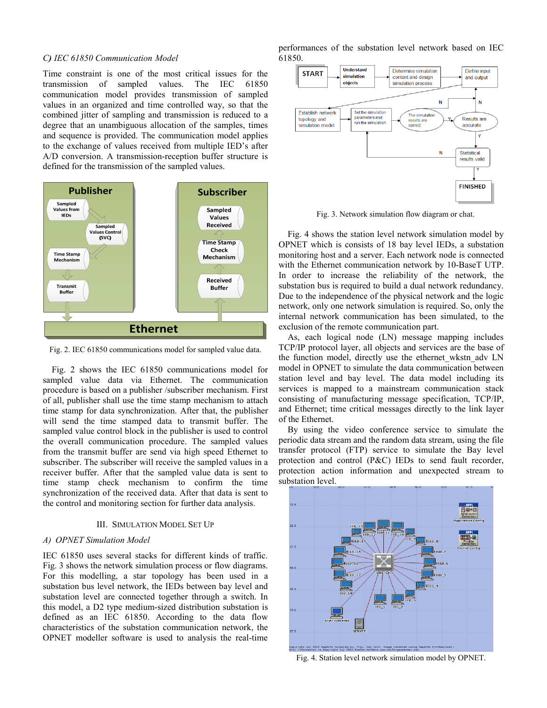#### *C) IEC 61850 Communication Model*

Time constraint is one of the most critical issues for the transmission of sampled values. The IEC 61850 communication model provides transmission of sampled values in an organized and time controlled way, so that the combined jitter of sampling and transmission is reduced to a degree that an unambiguous allocation of the samples, times and sequence is provided. The communication model applies to the exchange of values received from multiple IED's after A/D conversion. A transmission-reception buffer structure is defined for the transmission of the sampled values.



Fig. 2. IEC 61850 communications model for sampled value data.

Fig. 2 shows the IEC 61850 communications model for sampled value data via Ethernet. The communication procedure is based on a publisher /subscriber mechanism. First of all, publisher shall use the time stamp mechanism to attach time stamp for data synchronization. After that, the publisher will send the time stamped data to transmit buffer. The sampled value control block in the publisher is used to control the overall communication procedure. The sampled values from the transmit buffer are send via high speed Ethernet to subscriber. The subscriber will receive the sampled values in a receiver buffer. After that the sampled value data is sent to time stamp check mechanism to confirm the time synchronization of the received data. After that data is sent to the control and monitoring section for further data analysis.

### III. SIMULATION MODEL SET UP

## *A) OPNET Simulation Model*

IEC 61850 uses several stacks for different kinds of traffic. Fig. 3 shows the network simulation process or flow diagrams. For this modelling, a star topology has been used in a substation bus level network, the IEDs between bay level and substation level are connected together through a switch. In this model, a D2 type medium-sized distribution substation is defined as an IEC 61850. According to the data flow characteristics of the substation communication network, the OPNET modeller software is used to analysis the real-time performances of the substation level network based on IEC 61850.



Fig. 3. Network simulation flow diagram or chat.

Fig. 4 shows the station level network simulation model by OPNET which is consists of 18 bay level IEDs, a substation monitoring host and a server. Each network node is connected with the Ethernet communication network by 10-BaseT UTP. In order to increase the reliability of the network, the substation bus is required to build a dual network redundancy. Due to the independence of the physical network and the logic network, only one network simulation is required. So, only the internal network communication has been simulated, to the exclusion of the remote communication part.

As, each logical node (LN) message mapping includes TCP/IP protocol layer, all objects and services are the base of the function model, directly use the ethernet\_wkstn\_adv LN model in OPNET to simulate the data communication between station level and bay level. The data model including its services is mapped to a mainstream communication stack consisting of manufacturing message specification, TCP/IP, and Ethernet; time critical messages directly to the link layer of the Ethernet.

By using the video conference service to simulate the periodic data stream and the random data stream, using the file transfer protocol (FTP) service to simulate the Bay level protection and control (P&C) IEDs to send fault recorder, protection action information and unexpected stream to substation level.



Fig. 4. Station level network simulation model by OPNET.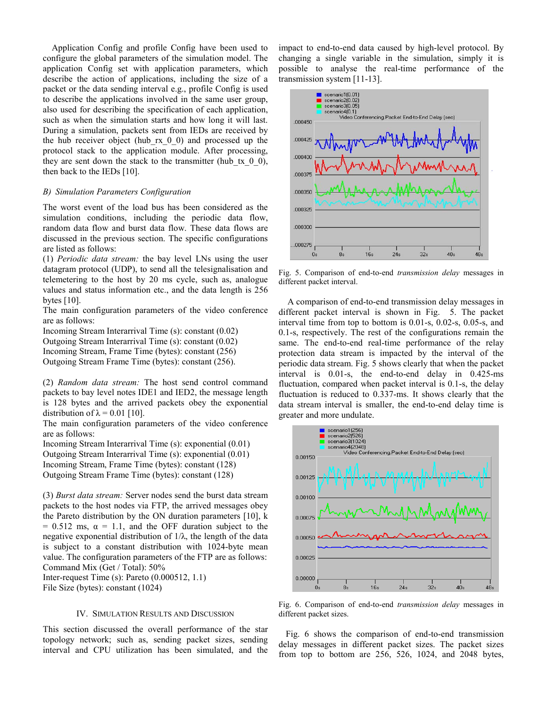Application Config and profile Config have been used to configure the global parameters of the simulation model. The application Config set with application parameters, which describe the action of applications, including the size of a packet or the data sending interval e.g., profile Config is used to describe the applications involved in the same user group, also used for describing the specification of each application, such as when the simulation starts and how long it will last. During a simulation, packets sent from IEDs are received by the hub receiver object (hub\_rx\_0\_0) and processed up the protocol stack to the application module. After processing, they are sent down the stack to the transmitter (hub\_tx\_0\_0), then back to the IEDs [10].

### *B) Simulation Parameters Configuration*

The worst event of the load bus has been considered as the simulation conditions, including the periodic data flow, random data flow and burst data flow. These data flows are discussed in the previous section. The specific configurations are listed as follows:

(1) *Periodic data stream:* the bay level LNs using the user datagram protocol (UDP), to send all the telesignalisation and telemetering to the host by 20 ms cycle, such as, analogue values and status information etc., and the data length is 256 bytes [10].

The main configuration parameters of the video conference are as follows:

Incoming Stream Interarrival Time (s): constant (0.02) Outgoing Stream Interarrival Time (s): constant (0.02) Incoming Stream, Frame Time (bytes): constant (256)

Outgoing Stream Frame Time (bytes): constant (256).

(2) *Random data stream:* The host send control command packets to bay level notes IDE1 and IED2, the message length is 128 bytes and the arrived packets obey the exponential distribution of  $\lambda = 0.01$  [10].

The main configuration parameters of the video conference are as follows:

Incoming Stream Interarrival Time (s): exponential (0.01) Outgoing Stream Interarrival Time (s): exponential (0.01) Incoming Stream, Frame Time (bytes): constant (128) Outgoing Stream Frame Time (bytes): constant (128)

(3) *Burst data stream:* Server nodes send the burst data stream packets to the host nodes via FTP, the arrived messages obey the Pareto distribution by the ON duration parameters [10], k  $= 0.512$  ms,  $\alpha = 1.1$ , and the OFF duration subject to the negative exponential distribution of 1/λ, the length of the data is subject to a constant distribution with 1024-byte mean value. The configuration parameters of the FTP are as follows: Command Mix (Get / Total): 50%

Inter-request Time (s): Pareto (0.000512, 1.1) File Size (bytes): constant (1024)

## IV. SIMULATION RESULTS AND DISCUSSION

This section discussed the overall performance of the star topology network; such as, sending packet sizes, sending interval and CPU utilization has been simulated, and the impact to end-to-end data caused by high-level protocol. By changing a single variable in the simulation, simply it is possible to analyse the real-time performance of the transmission system [11-13].



Fig. 5. Comparison of end-to-end *transmission delay* messages in different packet interval.

A comparison of end-to-end transmission delay messages in different packet interval is shown in Fig. 5. The packet interval time from top to bottom is 0.01-s, 0.02-s, 0.05-s, and 0.1-s, respectively. The rest of the configurations remain the same. The end-to-end real-time performance of the relay protection data stream is impacted by the interval of the periodic data stream. Fig. 5 shows clearly that when the packet interval is 0.01-s, the end-to-end delay in 0.425-ms fluctuation, compared when packet interval is 0.1-s, the delay fluctuation is reduced to 0.337-ms. It shows clearly that the data stream interval is smaller, the end-to-end delay time is greater and more undulate.



Fig. 6. Comparison of end-to-end *transmission delay* messages in different packet sizes.

Fig. 6 shows the comparison of end-to-end transmission delay messages in different packet sizes. The packet sizes from top to bottom are 256, 526, 1024, and 2048 bytes,